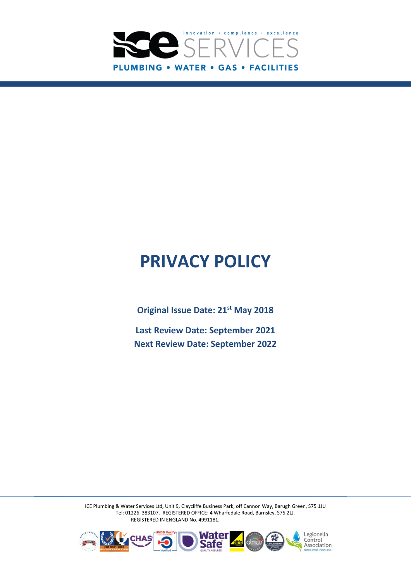

# **PRIVACY POLICY**

**Original Issue Date: 21st May 2018**

**Last Review Date: September 2021 Next Review Date: September 2022**

ICE Plumbing & Water Services Ltd, Unit 9, Claycliffe Business Park, off Cannon Way, Barugh Green, S75 1JU Tel: 01226 383107. REGISTERED OFFICE: 4 Wharfedale Road, Barnsley, S75 2LJ. REGISTERED IN ENGLAND No. 4991181.

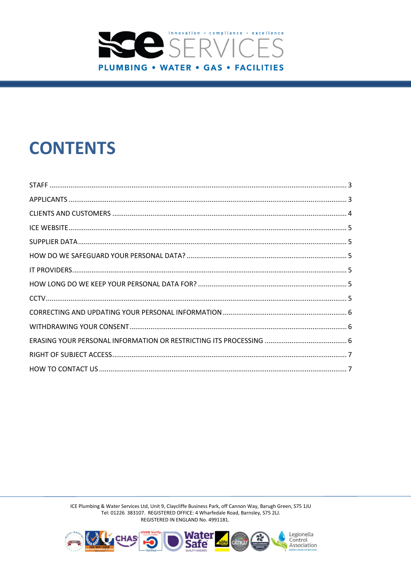

# **CONTENTS**

ICE Plumbing & Water Services Ltd, Unit 9, Claycliffe Business Park, off Cannon Way, Barugh Green, S75 1JU Tel: 01226 383107. REGISTERED OFFICE: 4 Wharfedale Road, Barnsley, S75 2LJ. REGISTERED IN ENGLAND No. 4991181.

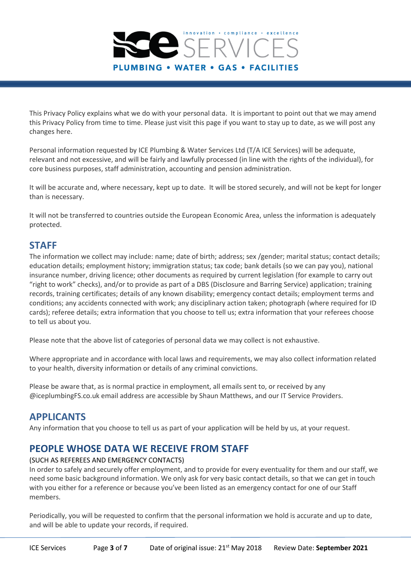

This Privacy Policy explains what we do with your personal data. It is important to point out that we may amend this Privacy Policy from time to time. Please just visit this page if you want to stay up to date, as we will post any changes here.

Personal information requested by ICE Plumbing & Water Services Ltd (T/A ICE Services) will be adequate, relevant and not excessive, and will be fairly and lawfully processed (in line with the rights of the individual), for core business purposes, staff administration, accounting and pension administration.

It will be accurate and, where necessary, kept up to date. It will be stored securely, and will not be kept for longer than is necessary.

It will not be transferred to countries outside the European Economic Area, unless the information is adequately protected.

# <span id="page-2-0"></span>**STAFF**

The information we collect may include: name; date of birth; address; sex /gender; marital status; contact details; education details; employment history; immigration status; tax code; bank details (so we can pay you), national insurance number, driving licence; other documents as required by current legislation (for example to carry out "right to work" checks), and/or to provide as part of a DBS (Disclosure and Barring Service) application; training records, training certificates; details of any known disability; emergency contact details; employment terms and conditions; any accidents connected with work; any disciplinary action taken; photograph (where required for ID cards); referee details; extra information that you choose to tell us; extra information that your referees choose to tell us about you.

Please note that the above list of categories of personal data we may collect is not exhaustive.

Where appropriate and in accordance with local laws and requirements, we may also collect information related to your health, diversity information or details of any criminal convictions.

Please be aware that, as is normal practice in employment, all emails sent to, or received by any @iceplumbingFS.co.uk email address are accessible by Shaun Matthews, and our IT Service Providers.

# <span id="page-2-1"></span>**APPLICANTS**

Any information that you choose to tell us as part of your application will be held by us, at your request.

# **PEOPLE WHOSE DATA WE RECEIVE FROM STAFF**

#### (SUCH AS REFEREES AND EMERGENCY CONTACTS)

In order to safely and securely offer employment, and to provide for every eventuality for them and our staff, we need some basic background information. We only ask for very basic contact details, so that we can get in touch with you either for a reference or because you've been listed as an emergency contact for one of our Staff members.

Periodically, you will be requested to confirm that the personal information we hold is accurate and up to date, and will be able to update your records, if required.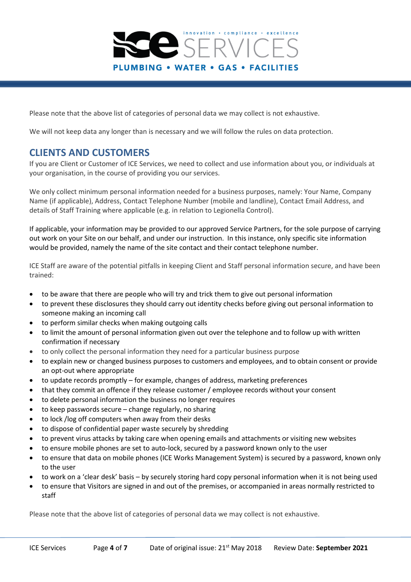

Please note that the above list of categories of personal data we may collect is not exhaustive.

We will not keep data any longer than is necessary and we will follow the rules on data protection.

# <span id="page-3-0"></span>**CLIENTS AND CUSTOMERS**

If you are Client or Customer of ICE Services, we need to collect and use information about you, or individuals at your organisation, in the course of providing you our services.

We only collect minimum personal information needed for a business purposes, namely: Your Name, Company Name (if applicable), Address, Contact Telephone Number (mobile and landline), Contact Email Address, and details of Staff Training where applicable (e.g. in relation to Legionella Control).

If applicable, your information may be provided to our approved Service Partners, for the sole purpose of carrying out work on your Site on our behalf, and under our instruction. In this instance, only specific site information would be provided, namely the name of the site contact and their contact telephone number.

ICE Staff are aware of the potential pitfalls in keeping Client and Staff personal information secure, and have been trained:

- to be aware that there are people who will try and trick them to give out personal information
- to prevent these disclosures they should carry out identity checks before giving out personal information to someone making an incoming call
- to perform similar checks when making outgoing calls
- to limit the amount of personal information given out over the telephone and to follow up with written confirmation if necessary
- to only collect the personal information they need for a particular business purpose
- to explain new or changed business purposes to customers and employees, and to obtain consent or provide an opt-out where appropriate
- to update records promptly for example, changes of address, marketing preferences
- that they commit an offence if they release customer / employee records without your consent
- to delete personal information the business no longer requires
- $\bullet$  to keep passwords secure change regularly, no sharing
- to lock /log off computers when away from their desks
- to dispose of confidential paper waste securely by shredding
- to prevent virus attacks by taking care when opening emails and attachments or visiting new websites
- to ensure mobile phones are set to auto-lock, secured by a password known only to the user
- to ensure that data on mobile phones (ICE Works Management System) is secured by a password, known only to the user
- to work on a 'clear desk' basis by securely storing hard copy personal information when it is not being used
- to ensure that Visitors are signed in and out of the premises, or accompanied in areas normally restricted to staff

Please note that the above list of categories of personal data we may collect is not exhaustive.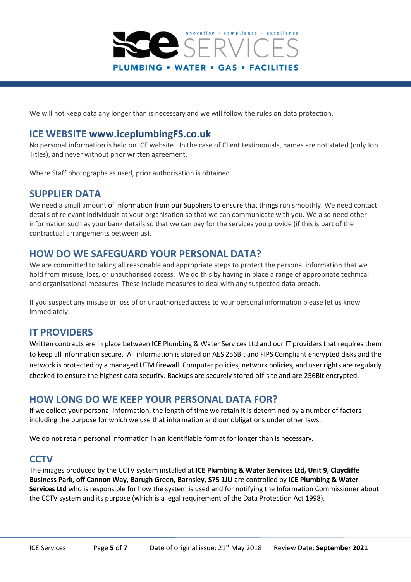

We will not keep data any longer than is necessary and we will follow the rules on data protection.

#### <span id="page-4-0"></span>**ICE WEBSITE [www.iceplumbingFS.co.uk](http://www.iceplumbingfs.co.uk/)**

No personal information is held on ICE website. In the case of Client testimonials, names are not stated (only Job Titles), and never without prior written agreement.

Where Staff photographs as used, prior authorisation is obtained.

#### <span id="page-4-1"></span>**SUPPLIER DATA**

We need a small amount of information from our [Suppliers](https://www.hays.co.uk/revised-privacy-policy/index.htm?utm_medium=email&utm_campaign=9241993_GDPR%20-%20HAYS%20UK%20Privacy%20Policy%20Update%20-%20Eshot%20Yes%20-%20Email%201%20-%20Feb%2018&utm_content=Hays%20Privacy%20Policy&utm_source=dotmailer&dm_i=21Q0,5I361,RQH29D,LC4ZK,1#Suppliers) to ensure that things run smoothly. We need contact details of relevant individuals at your organisation so that we can communicate with you. We also need other information such as your bank details so that we can pay for the services you provide (if this is part of the contractual arrangements between us).

# <span id="page-4-2"></span>**HOW DO WE SAFEGUARD YOUR PERSONAL DATA?**

We are committed to taking all reasonable and appropriate steps to protect the personal information that we hold from misuse, loss, or unauthorised access. We do this by having in place a range of appropriate technical and organisational measures. These include measures to deal with any suspected data breach.

If you suspect any misuse or loss of or unauthorised access to your personal information please let us know immediately.

#### <span id="page-4-3"></span>**IT PROVIDERS**

Written contracts are in place between ICE Plumbing & Water Services Ltd and our IT providers that requires them to keep all information secure. All information is stored on AES 256Bit and FIPS Compliant encrypted disks and the network is protected by a managed UTM firewall. Computer policies, network policies, and user rights are regularly checked to ensure the highest data security. Backups are securely stored off-site and are 256Bit encrypted.

# <span id="page-4-4"></span>**HOW LONG DO WE KEEP YOUR PERSONAL DATA FOR?**

If we collect your personal information, the length of time we retain it is determined by a number of factors including the purpose for which we use that information and our obligations under other laws.

We do not retain personal information in an identifiable format for longer than is necessary.

# <span id="page-4-5"></span>**CCTV**

The images produced by the CCTV system installed at **ICE Plumbing & Water Services Ltd, Unit 9, Claycliffe Business Park, off Cannon Way, Barugh Green, Barnsley, S75 1JU** are controlled by **ICE Plumbing & Water Services Ltd** who is responsible for how the system is used and for notifying the Information Commissioner about the CCTV system and its purpose (which is a legal requirement of the Data Protection Act 1998).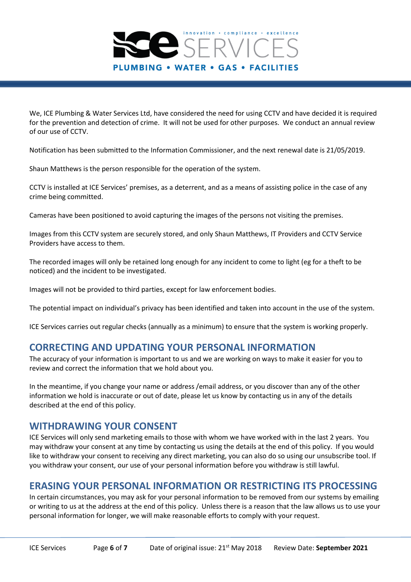

We, ICE Plumbing & Water Services Ltd, have considered the need for using CCTV and have decided it is required for the prevention and detection of crime. It will not be used for other purposes. We conduct an annual review of our use of CCTV.

Notification has been submitted to the Information Commissioner, and the next renewal date is 21/05/2019.

Shaun Matthews is the person responsible for the operation of the system.

CCTV is installed at ICE Services' premises, as a deterrent, and as a means of assisting police in the case of any crime being committed.

Cameras have been positioned to avoid capturing the images of the persons not visiting the premises.

Images from this CCTV system are securely stored, and only Shaun Matthews, IT Providers and CCTV Service Providers have access to them.

The recorded images will only be retained long enough for any incident to come to light (eg for a theft to be noticed) and the incident to be investigated.

Images will not be provided to third parties, except for law enforcement bodies.

The potential impact on individual's privacy has been identified and taken into account in the use of the system.

ICE Services carries out regular checks (annually as a minimum) to ensure that the system is working properly.

# <span id="page-5-0"></span>**CORRECTING AND UPDATING YOUR PERSONAL INFORMATION**

The accuracy of your information is important to us and we are working on ways to make it easier for you to review and correct the information that we hold about you.

In the meantime, if you change your name or address /email address, or you discover than any of the other information we hold is inaccurate or out of date, please let us know by contacting us in any of the details described at the end of this policy.

#### <span id="page-5-1"></span>**WITHDRAWING YOUR CONSENT**

ICE Services will only send marketing emails to those with whom we have worked with in the last 2 years. You may withdraw your consent at any time by contacting us using the details at the end of this policy. If you would like to withdraw your consent to receiving any direct marketing, you can also do so using our unsubscribe tool. If you withdraw your consent, our use of your personal information before you withdraw is still lawful.

#### <span id="page-5-2"></span>**ERASING YOUR PERSONAL INFORMATION OR RESTRICTING ITS PROCESSING**

In certain circumstances, you may ask for your personal information to be removed from our systems by emailing or writing to us at the address at the end of this policy. Unless there is a reason that the law allows us to use your personal information for longer, we will make reasonable efforts to comply with your request.